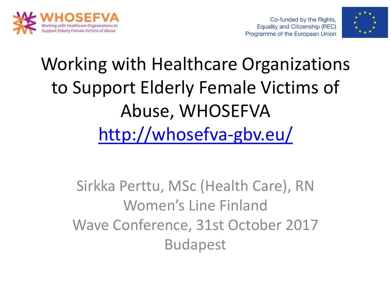



# Working with Healthcare Organizations to Support Elderly Female Victims of Abuse, WHOSEFVA <http://whosefva-gbv.eu/>

Sirkka Perttu, MSc (Health Care), RN Women's Line Finland Wave Conference, 31st October 2017 Budapest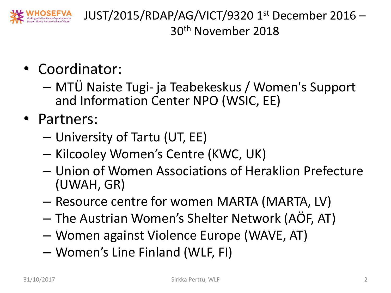

JUST/2015/RDAP/AG/VICT/9320 1 st December 2016 – 30th November 2018

- Coordinator:
	- MTÜ Naiste Tugi- ja Teabekeskus / Women's Support and Information Center NPO (WSIC, EE)
- Partners:
	- University of Tartu (UT, EE)
	- Kilcooley Women's Centre (KWC, UK)
	- Union of Women Associations of Heraklion Prefecture (UWAH, GR)
	- Resource centre for women MARTA (MARTA, LV)
	- The Austrian Women's Shelter Network (AÖF, AT)
	- Women against Violence Europe (WAVE, AT)
	- Women's Line Finland (WLF, FI)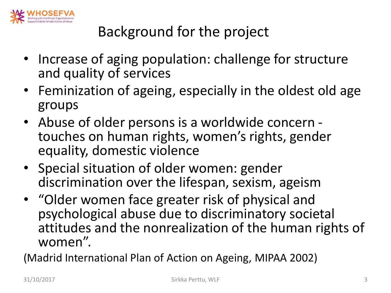

#### Background for the project

- Increase of aging population: challenge for structure and quality of services
- Feminization of ageing, especially in the oldest old age groups
- Abuse of older persons is a worldwide concern touches on human rights, women's rights, gender equality, domestic violence
- Special situation of older women: gender discrimination over the lifespan, sexism, ageism
- "Older women face greater risk of physical and psychological abuse due to discriminatory societal attitudes and the nonrealization of the human rights of women".

(Madrid International Plan of Action on Ageing, MIPAA 2002)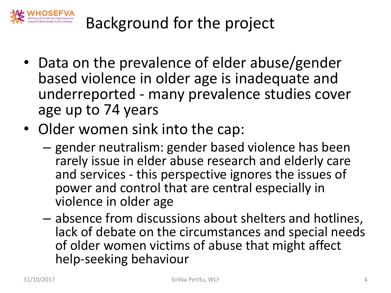

Background for the project

- Data on the prevalence of elder abuse/gender based violence in older age is inadequate and underreported - many prevalence studies cover age up to 74 years
- Older women sink into the cap:
	- gender neutralism: gender based violence has been rarely issue in elder abuse research and elderly care and services - this perspective ignores the issues of power and control that are central especially in violence in older age
	- absence from discussions about shelters and hotlines, lack of debate on the circumstances and special needs of older women victims of abuse that might affect help-seeking behaviour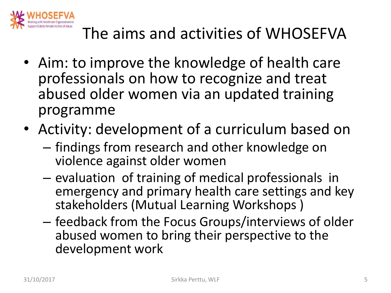

- Aim: to improve the knowledge of health care professionals on how to recognize and treat abused older women via an updated training programme
- Activity: development of a curriculum based on
	- findings from research and other knowledge on violence against older women
	- evaluation of training of medical professionals in emergency and primary health care settings and key stakeholders (Mutual Learning Workshops )
	- feedback from the Focus Groups/interviews of older abused women to bring their perspective to the development work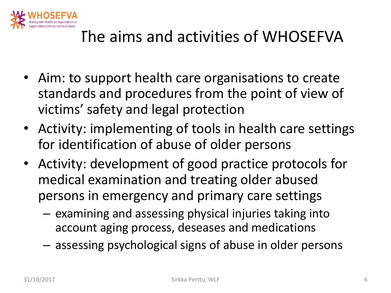

- Aim: to support health care organisations to create standards and procedures from the point of view of victims' safety and legal protection
- Activity: implementing of tools in health care settings for identification of abuse of older persons
- Activity: development of good practice protocols for medical examination and treating older abused persons in emergency and primary care settings
	- examining and assessing physical injuries taking into account aging process, deseases and medications
	- assessing psychological signs of abuse in older persons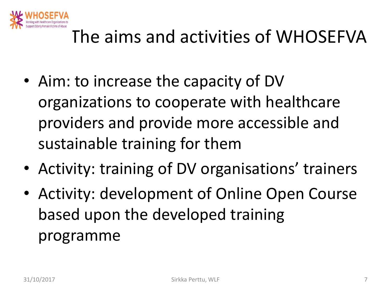

- Aim: to increase the capacity of DV organizations to cooperate with healthcare providers and provide more accessible and sustainable training for them
- Activity: training of DV organisations' trainers
- Activity: development of Online Open Course based upon the developed training programme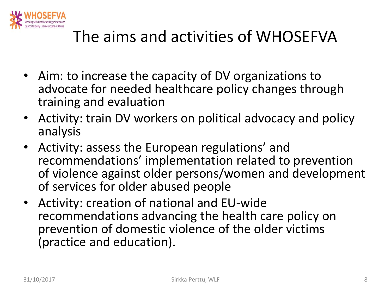

- Aim: to increase the capacity of DV organizations to advocate for needed healthcare policy changes through training and evaluation
- Activity: train DV workers on political advocacy and policy analysis
- Activity: assess the European regulations' and recommendations' implementation related to prevention of violence against older persons/women and development of services for older abused people
- Activity: creation of national and EU-wide recommendations advancing the health care policy on prevention of domestic violence of the older victims (practice and education).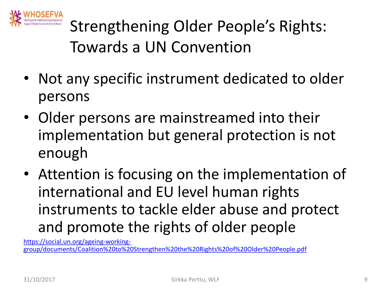

Strengthening Older People's Rights: Towards a UN Convention

- Not any specific instrument dedicated to older persons
- Older persons are mainstreamed into their implementation but general protection is not enough
- Attention is focusing on the implementation of international and EU level human rights instruments to tackle elder abuse and protect and promote the rights of older people

https://social.un.org/ageing-working[group/documents/Coalition%20to%20Strengthen%20the%20Rights%20of%20Older%20People.pdf](https://social.un.org/ageing-working-group/documents/Coalition to Strengthen the Rights of Older People.pdf)